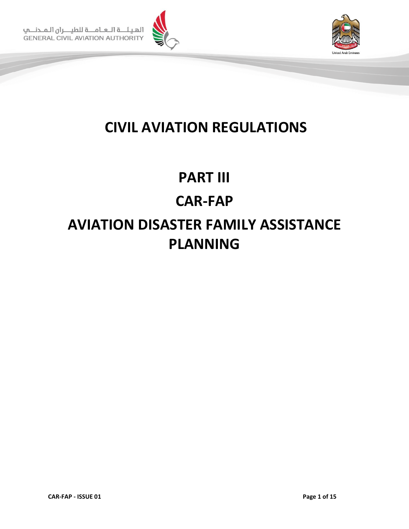



# **CIVIL AVIATION REGULATIONS**

# **PART III CAR-FAP AVIATION DISASTER FAMILY ASSISTANCE PLANNING**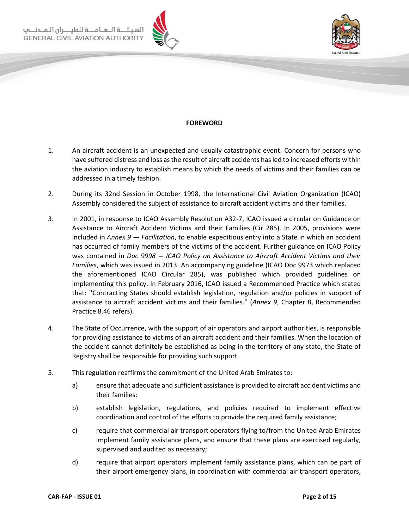الهيئة اللعاملة للطيا **GENERAL CIVIL AVIATION AUTHORITY** 





#### **FOREWORD**

- <span id="page-1-0"></span>1. An aircraft accident is an unexpected and usually catastrophic event. Concern for persons who have suffered distress and loss as the result of aircraft accidents has led to increased efforts within the aviation industry to establish means by which the needs of victims and their families can be addressed in a timely fashion.
- 2. During its 32nd Session in October 1998, the International Civil Aviation Organization (ICAO) Assembly considered the subject of assistance to aircraft accident victims and their families.
- 3. In 2001, in response to ICAO Assembly Resolution A32-7, ICAO issued a circular on Guidance on Assistance to Aircraft Accident Victims and their Families (Cir 285). In 2005, provisions were included in *Annex 9 — Facilitation*, to enable expeditious entry into a State in which an accident has occurred of family members of the victims of the accident. Further guidance on ICAO Policy was contained in *Doc 9998 ̶ ICAO Policy on Assistance to Aircraft Accident Victims and their Families*, which was issued in 2013. An accompanying guideline (ICAO Doc 9973 which replaced the aforementioned ICAO Circular 285), was published which provided guidelines on implementing this policy. In February 2016, ICAO issued a Recommended Practice which stated that: ''Contracting States should establish legislation, regulation and/or policies in support of assistance to aircraft accident victims and their families.'' (*Annex 9*, Chapter 8, Recommended Practice 8.46 refers).
- 4. The State of Occurrence, with the support of air operators and airport authorities, is responsible for providing assistance to victims of an aircraft accident and their families. When the location of the accident cannot definitely be established as being in the territory of any state, the State of Registry shall be responsible for providing such support.
- 5. This regulation reaffirms the commitment of the United Arab Emirates to:
	- a) ensure that adequate and sufficient assistance is provided to aircraft accident victims and their families;
	- b) establish legislation, regulations, and policies required to implement effective coordination and control of the efforts to provide the required family assistance;
	- c) require that commercial air transport operators flying to/from the United Arab Emirates implement family assistance plans, and ensure that these plans are exercised regularly, supervised and audited as necessary;
	- d) require that airport operators implement family assistance plans, which can be part of their airport emergency plans, in coordination with commercial air transport operators,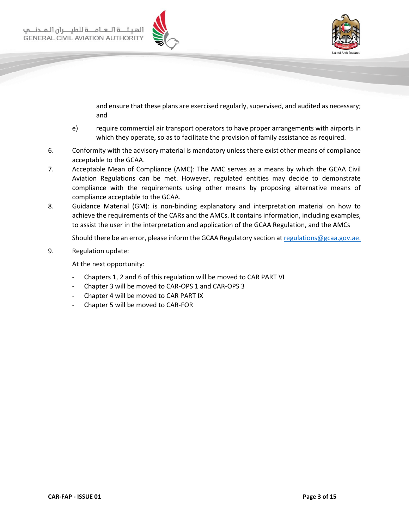



and ensure that these plans are exercised regularly, supervised, and audited as necessary; and

- e) require commercial air transport operators to have proper arrangements with airports in which they operate, so as to facilitate the provision of family assistance as required.
- 6. Conformity with the advisory material is mandatory unless there exist other means of compliance acceptable to the GCAA.
- 7. Acceptable Mean of Compliance (AMC): The AMC serves as a means by which the GCAA Civil Aviation Regulations can be met. However, regulated entities may decide to demonstrate compliance with the requirements using other means by proposing alternative means of compliance acceptable to the GCAA.
- 8. Guidance Material (GM): is non-binding explanatory and interpretation material on how to achieve the requirements of the CARs and the AMCs. It contains information, including examples, to assist the user in the interpretation and application of the GCAA Regulation, and the AMCs

Should there be an error, please inform the GCAA Regulatory section at [regulations@gcaa.gov.ae.](mailto:regulations@gcaa.gov.ae)

9. Regulation update:

At the next opportunity:

- Chapters 1, 2 and 6 of this regulation will be moved to CAR PART VI
- Chapter 3 will be moved to CAR-OPS 1 and CAR-OPS 3
- Chapter 4 will be moved to CAR PART IX
- Chapter 5 will be moved to CAR-FOR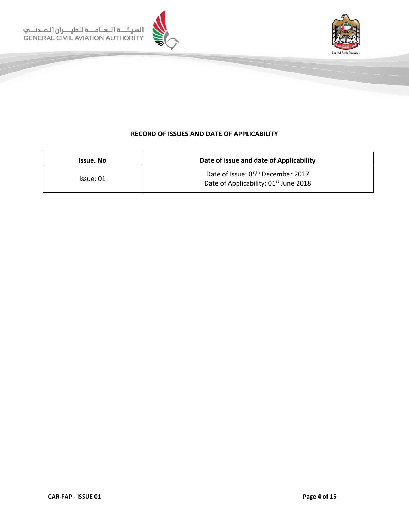



# **RECORD OF ISSUES AND DATE OF APPLICABILITY**

<span id="page-3-0"></span>

| Issue. No | Date of issue and date of Applicability                                                            |
|-----------|----------------------------------------------------------------------------------------------------|
| Issue: 01 | Date of Issue: 05 <sup>th</sup> December 2017<br>Date of Applicability: 01 <sup>st</sup> June 2018 |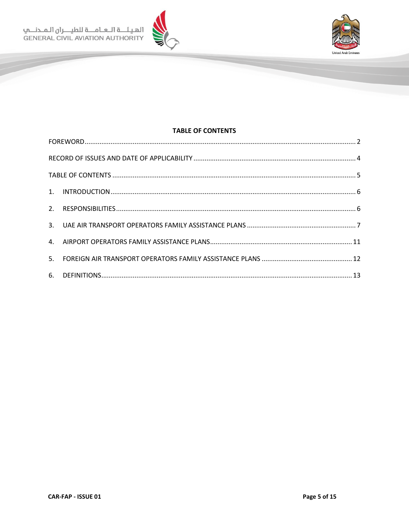الهيئـــة الــعــامــــة للطيــــران الـمــدنــــي<br>GENERAL CIVIL AVIATION AUTHORITY



# <span id="page-4-0"></span>**TABLE OF CONTENTS**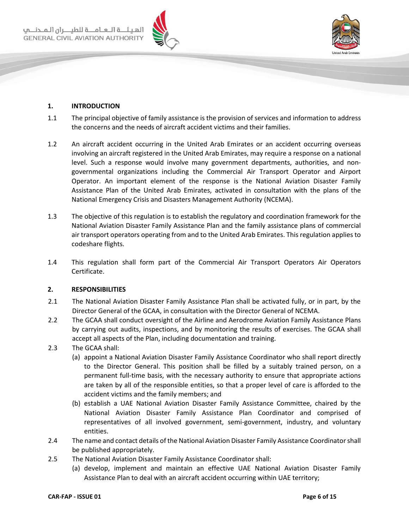



#### <span id="page-5-0"></span>**1. INTRODUCTION**

- 1.1 The principal objective of family assistance is the provision of services and information to address the concerns and the needs of aircraft accident victims and their families.
- 1.2 An aircraft accident occurring in the United Arab Emirates or an accident occurring overseas involving an aircraft registered in the United Arab Emirates, may require a response on a national level. Such a response would involve many government departments, authorities, and nongovernmental organizations including the Commercial Air Transport Operator and Airport Operator. An important element of the response is the National Aviation Disaster Family Assistance Plan of the United Arab Emirates, activated in consultation with the plans of the National Emergency Crisis and Disasters Management Authority (NCEMA).
- 1.3 The objective of this regulation is to establish the regulatory and coordination framework for the National Aviation Disaster Family Assistance Plan and the family assistance plans of commercial air transport operators operating from and to the United Arab Emirates. This regulation applies to codeshare flights.
- 1.4 This regulation shall form part of the Commercial Air Transport Operators Air Operators Certificate.

#### <span id="page-5-1"></span>**2. RESPONSIBILITIES**

- 2.1 The National Aviation Disaster Family Assistance Plan shall be activated fully, or in part, by the Director General of the GCAA, in consultation with the Director General of NCEMA.
- 2.2 The GCAA shall conduct oversight of the Airline and Aerodrome Aviation Family Assistance Plans by carrying out audits, inspections, and by monitoring the results of exercises. The GCAA shall accept all aspects of the Plan, including documentation and training.
- 2.3 The GCAA shall:
	- (a) appoint a National Aviation Disaster Family Assistance Coordinator who shall report directly to the Director General. This position shall be filled by a suitably trained person, on a permanent full-time basis, with the necessary authority to ensure that appropriate actions are taken by all of the responsible entities, so that a proper level of care is afforded to the accident victims and the family members; and
	- (b) establish a UAE National Aviation Disaster Family Assistance Committee, chaired by the National Aviation Disaster Family Assistance Plan Coordinator and comprised of representatives of all involved government, semi-government, industry, and voluntary entities.
- 2.4 The name and contact details of the National Aviation Disaster Family Assistance Coordinator shall be published appropriately.
- 2.5 The National Aviation Disaster Family Assistance Coordinator shall:
	- (a) develop, implement and maintain an effective UAE National Aviation Disaster Family Assistance Plan to deal with an aircraft accident occurring within UAE territory;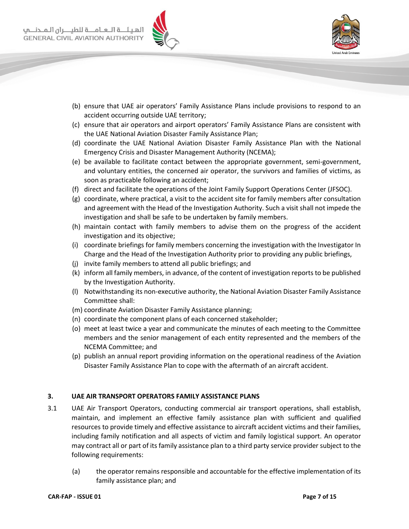



- (b) ensure that UAE air operators' Family Assistance Plans include provisions to respond to an accident occurring outside UAE territory;
- (c) ensure that air operators and airport operators' Family Assistance Plans are consistent with the UAE National Aviation Disaster Family Assistance Plan;
- (d) coordinate the UAE National Aviation Disaster Family Assistance Plan with the National Emergency Crisis and Disaster Management Authority (NCEMA);
- (e) be available to facilitate contact between the appropriate government, semi-government, and voluntary entities, the concerned air operator, the survivors and families of victims, as soon as practicable following an accident;
- (f) direct and facilitate the operations of the Joint Family Support Operations Center (JFSOC).
- (g) coordinate, where practical, a visit to the accident site for family members after consultation and agreement with the Head of the Investigation Authority. Such a visit shall not impede the investigation and shall be safe to be undertaken by family members.
- (h) maintain contact with family members to advise them on the progress of the accident investigation and its objective;
- (i) coordinate briefings for family members concerning the investigation with the Investigator In Charge and the Head of the Investigation Authority prior to providing any public briefings,
- (j) invite family members to attend all public briefings; and
- (k) inform all family members, in advance, of the content of investigation reports to be published by the Investigation Authority.
- (l) Notwithstanding its non-executive authority, the National Aviation Disaster Family Assistance Committee shall:
- (m) coordinate Aviation Disaster Family Assistance planning;
- (n) coordinate the component plans of each concerned stakeholder;
- (o) meet at least twice a year and communicate the minutes of each meeting to the Committee members and the senior management of each entity represented and the members of the NCEMA Committee; and
- (p) publish an annual report providing information on the operational readiness of the Aviation Disaster Family Assistance Plan to cope with the aftermath of an aircraft accident.

# <span id="page-6-0"></span>**3. UAE AIR TRANSPORT OPERATORS FAMILY ASSISTANCE PLANS**

- 3.1 UAE Air Transport Operators, conducting commercial air transport operations, shall establish, maintain, and implement an effective family assistance plan with sufficient and qualified resources to provide timely and effective assistance to aircraft accident victims and their families, including family notification and all aspects of victim and family logistical support. An operator may contract all or part of its family assistance plan to a third party service provider subject to the following requirements:
	- (a) the operator remains responsible and accountable for the effective implementation of its family assistance plan; and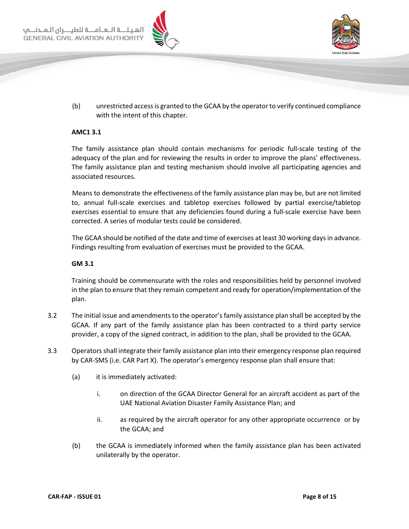



(b) unrestricted access is granted to the GCAA by the operator to verify continued compliance with the intent of this chapter.

### **AMC1 3.1**

The family assistance plan should contain mechanisms for periodic full-scale testing of the adequacy of the plan and for reviewing the results in order to improve the plans' effectiveness. The family assistance plan and testing mechanism should involve all participating agencies and associated resources.

Means to demonstrate the effectiveness of the family assistance plan may be, but are not limited to, annual full-scale exercises and tabletop exercises followed by partial exercise/tabletop exercises essential to ensure that any deficiencies found during a full-scale exercise have been corrected. A series of modular tests could be considered.

The GCAA should be notified of the date and time of exercises at least 30 working days in advance. Findings resulting from evaluation of exercises must be provided to the GCAA.

#### **GM 3.1**

Training should be commensurate with the roles and responsibilities held by personnel involved in the plan to ensure that they remain competent and ready for operation/implementation of the plan.

- 3.2 The initial issue and amendments to the operator's family assistance plan shall be accepted by the GCAA. If any part of the family assistance plan has been contracted to a third party service provider, a copy of the signed contract, in addition to the plan, shall be provided to the GCAA.
- 3.3 Operators shall integrate their family assistance plan into their emergency response plan required by CAR-SMS (i.e. CAR Part X). The operator's emergency response plan shall ensure that:
	- (a) it is immediately activated:
		- i. on direction of the GCAA Director General for an aircraft accident as part of the UAE National Aviation Disaster Family Assistance Plan; and
		- ii. as required by the aircraft operator for any other appropriate occurrence or by the GCAA; and
	- (b) the GCAA is immediately informed when the family assistance plan has been activated unilaterally by the operator.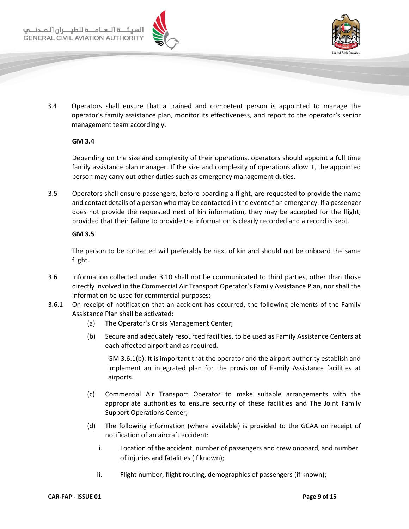



3.4 Operators shall ensure that a trained and competent person is appointed to manage the operator's family assistance plan, monitor its effectiveness, and report to the operator's senior management team accordingly.

#### **GM 3.4**

Depending on the size and complexity of their operations, operators should appoint a full time family assistance plan manager. If the size and complexity of operations allow it, the appointed person may carry out other duties such as emergency management duties.

3.5 Operators shall ensure passengers, before boarding a flight, are requested to provide the name and contact details of a person who may be contacted in the event of an emergency. If a passenger does not provide the requested next of kin information, they may be accepted for the flight, provided that their failure to provide the information is clearly recorded and a record is kept.

#### **GM 3.5**

The person to be contacted will preferably be next of kin and should not be onboard the same flight.

- 3.6 Information collected under 3.10 shall not be communicated to third parties, other than those directly involved in the Commercial Air Transport Operator's Family Assistance Plan, nor shall the information be used for commercial purposes;
- 3.6.1 On receipt of notification that an accident has occurred, the following elements of the Family Assistance Plan shall be activated:
	- (a) The Operator's Crisis Management Center;
	- (b) Secure and adequately resourced facilities, to be used as Family Assistance Centers at each affected airport and as required.

GM 3.6.1(b): It is important that the operator and the airport authority establish and implement an integrated plan for the provision of Family Assistance facilities at airports.

- (c) Commercial Air Transport Operator to make suitable arrangements with the appropriate authorities to ensure security of these facilities and The Joint Family Support Operations Center;
- (d) The following information (where available) is provided to the GCAA on receipt of notification of an aircraft accident:
	- i. Location of the accident, number of passengers and crew onboard, and number of injuries and fatalities (if known);
	- ii. Flight number, flight routing, demographics of passengers (if known);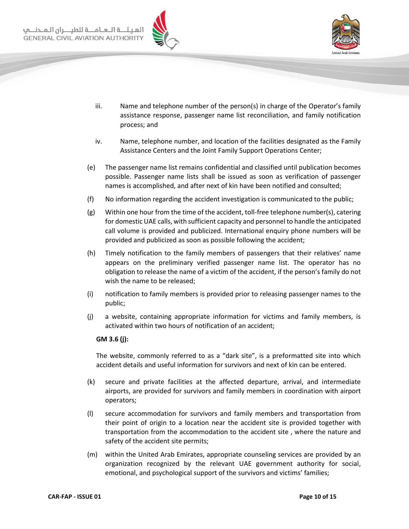



- iii. Name and telephone number of the person(s) in charge of the Operator's family assistance response, passenger name list reconciliation, and family notification process; and
- iv. Name, telephone number, and location of the facilities designated as the Family Assistance Centers and the Joint Family Support Operations Center;
- (e) The passenger name list remains confidential and classified until publication becomes possible. Passenger name lists shall be issued as soon as verification of passenger names is accomplished, and after next of kin have been notified and consulted;
- (f) No information regarding the accident investigation is communicated to the public;
- (g) Within one hour from the time of the accident, toll-free telephone number(s), catering for domestic UAE calls, with sufficient capacity and personnel to handle the anticipated call volume is provided and publicized. International enquiry phone numbers will be provided and publicized as soon as possible following the accident;
- (h) Timely notification to the family members of passengers that their relatives' name appears on the preliminary verified passenger name list. The operator has no obligation to release the name of a victim of the accident, if the person's family do not wish the name to be released;
- (i) notification to family members is provided prior to releasing passenger names to the public;
- (j) a website, containing appropriate information for victims and family members, is activated within two hours of notification of an accident;

#### **GM 3.6 (j):**

The website, commonly referred to as a "dark site", is a preformatted site into which accident details and useful information for survivors and next of kin can be entered.

- (k) secure and private facilities at the affected departure, arrival, and intermediate airports, are provided for survivors and family members in coordination with airport operators;
- (l) secure accommodation for survivors and family members and transportation from their point of origin to a location near the accident site is provided together with transportation from the accommodation to the accident site , where the nature and safety of the accident site permits;
- (m) within the United Arab Emirates, appropriate counseling services are provided by an organization recognized by the relevant UAE government authority for social, emotional, and psychological support of the survivors and victims' families;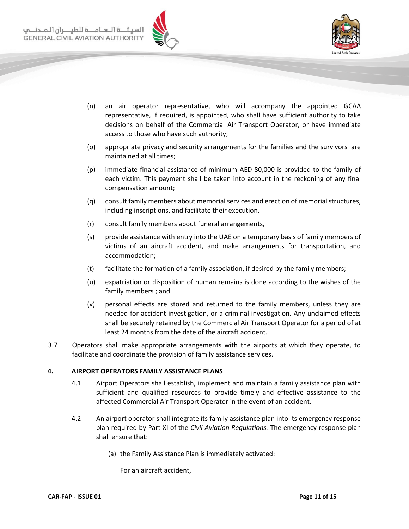



- (n) an air operator representative, who will accompany the appointed GCAA representative, if required, is appointed, who shall have sufficient authority to take decisions on behalf of the Commercial Air Transport Operator, or have immediate access to those who have such authority;
- (o) appropriate privacy and security arrangements for the families and the survivors are maintained at all times;
- (p) immediate financial assistance of minimum AED 80,000 is provided to the family of each victim. This payment shall be taken into account in the reckoning of any final compensation amount;
- (q) consult family members about memorial services and erection of memorial structures, including inscriptions, and facilitate their execution.
- (r) consult family members about funeral arrangements,
- (s) provide assistance with entry into the UAE on a temporary basis of family members of victims of an aircraft accident, and make arrangements for transportation, and accommodation;
- (t) facilitate the formation of a family association, if desired by the family members;
- (u) expatriation or disposition of human remains is done according to the wishes of the family members ; and
- (v) personal effects are stored and returned to the family members, unless they are needed for accident investigation, or a criminal investigation. Any unclaimed effects shall be securely retained by the Commercial Air Transport Operator for a period of at least 24 months from the date of the aircraft accident.
- 3.7 Operators shall make appropriate arrangements with the airports at which they operate, to facilitate and coordinate the provision of family assistance services.

#### <span id="page-10-0"></span>**4. AIRPORT OPERATORS FAMILY ASSISTANCE PLANS**

- 4.1 Airport Operators shall establish, implement and maintain a family assistance plan with sufficient and qualified resources to provide timely and effective assistance to the affected Commercial Air Transport Operator in the event of an accident.
- 4.2 An airport operator shall integrate its family assistance plan into its emergency response plan required by Part XI of the *Civil Aviation Regulations.* The emergency response plan shall ensure that:
	- (a) the Family Assistance Plan is immediately activated:

For an aircraft accident,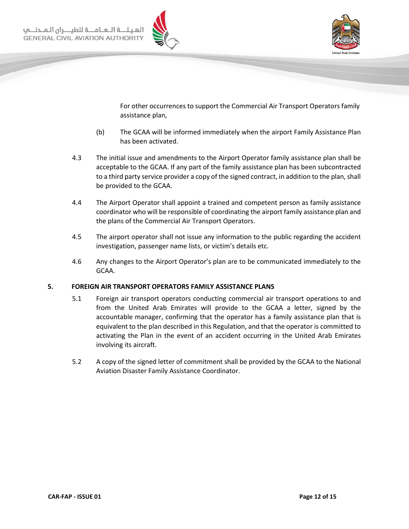



For other occurrences to support the Commercial Air Transport Operators family assistance plan,

- (b) The GCAA will be informed immediately when the airport Family Assistance Plan has been activated.
- 4.3 The initial issue and amendments to the Airport Operator family assistance plan shall be acceptable to the GCAA. If any part of the family assistance plan has been subcontracted to a third party service provider a copy of the signed contract, in addition to the plan, shall be provided to the GCAA.
- 4.4 The Airport Operator shall appoint a trained and competent person as family assistance coordinator who will be responsible of coordinating the airport family assistance plan and the plans of the Commercial Air Transport Operators.
- 4.5 The airport operator shall not issue any information to the public regarding the accident investigation, passenger name lists, or victim's details etc.
- 4.6 Any changes to the Airport Operator's plan are to be communicated immediately to the GCAA.

#### <span id="page-11-0"></span>**5. FOREIGN AIR TRANSPORT OPERATORS FAMILY ASSISTANCE PLANS**

- 5.1 Foreign air transport operators conducting commercial air transport operations to and from the United Arab Emirates will provide to the GCAA a letter, signed by the accountable manager, confirming that the operator has a family assistance plan that is equivalent to the plan described in this Regulation, and that the operator is committed to activating the Plan in the event of an accident occurring in the United Arab Emirates involving its aircraft.
- 5.2 A copy of the signed letter of commitment shall be provided by the GCAA to the National Aviation Disaster Family Assistance Coordinator.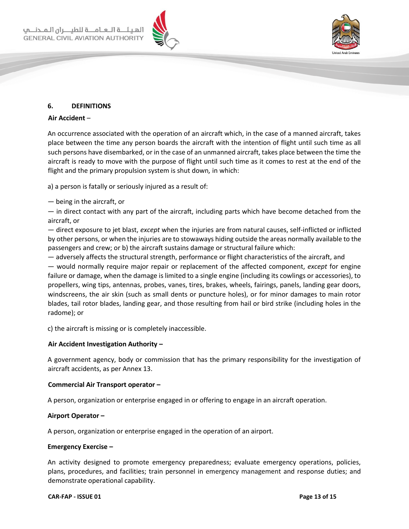



#### <span id="page-12-0"></span>**6. DEFINITIONS**

#### **Air Accident** –

An occurrence associated with the operation of an aircraft which, in the case of a manned aircraft, takes place between the time any person boards the aircraft with the intention of flight until such time as all such persons have disembarked, or in the case of an unmanned aircraft, takes place between the time the aircraft is ready to move with the purpose of flight until such time as it comes to rest at the end of the flight and the primary propulsion system is shut down*,* in which:

a) a person is fatally or seriously injured as a result of:

#### — being in the aircraft, or

— in direct contact with any part of the aircraft, including parts which have become detached from the aircraft, or

— direct exposure to jet blast, *except* when the injuries are from natural causes, self-inflicted or inflicted by other persons, or when the injuries are to stowaways hiding outside the areas normally available to the passengers and crew; or b) the aircraft sustains damage or structural failure which:

— adversely affects the structural strength, performance or flight characteristics of the aircraft, and — would normally require major repair or replacement of the affected component, *except* for engine failure or damage, when the damage is limited to a single engine (including its cowlings or accessories), to propellers, wing tips, antennas, probes, vanes, tires, brakes, wheels, fairings, panels, landing gear doors, windscreens, the air skin (such as small dents or puncture holes), or for minor damages to main rotor blades, tail rotor blades, landing gear, and those resulting from hail or bird strike (including holes in the radome); or

c) the aircraft is missing or is completely inaccessible.

#### **Air Accident Investigation Authority –**

A government agency, body or commission that has the primary responsibility for the investigation of aircraft accidents, as per Annex 13.

#### **Commercial Air Transport operator –**

A person, organization or enterprise engaged in or offering to engage in an aircraft operation.

#### **Airport Operator –**

A person, organization or enterprise engaged in the operation of an airport.

#### **Emergency Exercise –**

An activity designed to promote emergency preparedness; evaluate emergency operations, policies, plans, procedures, and facilities; train personnel in [emergency](http://www.expertglossary.com/definition/emergency-management) [management](http://www.expertglossary.com/definition/emergency-management) and response duties; and demonstrate operational capability.

#### **CAR-FAP - ISSUE 01 Page 13 of 15**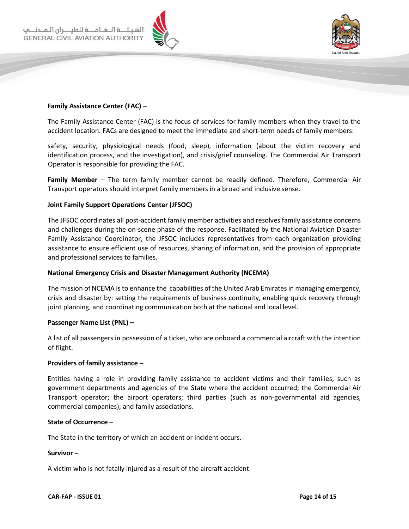



#### **Family Assistance Center (FAC) –**

The Family Assistance Center (FAC) is the focus of services for family members when they travel to the accident location. FACs are designed to meet the immediate and short-term needs of family members:

safety, security, physiological needs (food, sleep), information (about the victim recovery and identification process, and the investigation), and crisis/grief counseling. The Commercial Air Transport Operator is responsible for providing the FAC.

**Family Member** – The term family member cannot be readily defined. Therefore, Commercial Air Transport operators should interpret family members in a broad and inclusive sense.

#### **Joint Family Support Operations Center (JFSOC)**

The JFSOC coordinates all post-accident family member activities and resolves family assistance concerns and challenges during the on-scene phase of the response. Facilitated by the National Aviation Disaster Family Assistance Coordinator, the JFSOC includes representatives from each organization providing assistance to ensure efficient use of resources, sharing of information, and the provision of appropriate and professional services to families.

#### **National Emergency Crisis and Disaster Management Authority (NCEMA)**

The mission of NCEMA is to enhance the capabilities of the United Arab Emiratesin managing emergency, crisis and disaster by: setting the requirements of business continuity, enabling quick recovery through joint planning, and coordinating communication both at the national and local level.

#### **Passenger Name List (PNL) –**

A list of all passengers in possession of a ticket, who are onboard a commercial aircraft with the intention of flight.

#### **Providers of family assistance –**

Entities having a role in providing family assistance to accident victims and their families, such as government departments and agencies of the State where the accident occurred; the Commercial Air Transport operator; the airport operators; third parties (such as non-governmental aid agencies, commercial companies); and family associations.

#### **State of Occurrence –**

The State in the territory of which an accident or incident occurs.

#### **Survivor –**

A victim who is not fatally injured as a result of the aircraft accident.